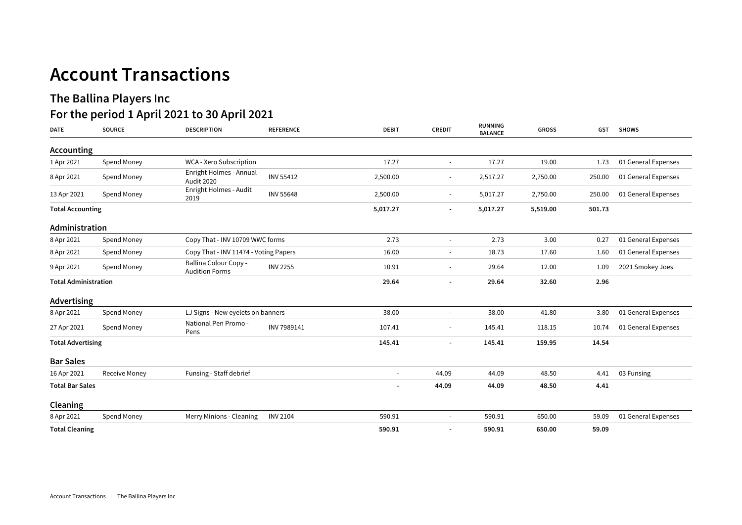## **Account Transactions**

## **The Ballina Players Inc For the period 1 April 2021 to 30 April 2021**

| <b>DATE</b>                 | <b>SOURCE</b>        | <b>DESCRIPTION</b>                                    | <b>REFERENCE</b> | <b>DEBIT</b>             | <b>CREDIT</b>            | <b>RUNNING</b><br><b>BALANCE</b> | <b>GROSS</b> | GST    | <b>SHOWS</b>        |
|-----------------------------|----------------------|-------------------------------------------------------|------------------|--------------------------|--------------------------|----------------------------------|--------------|--------|---------------------|
| Accounting                  |                      |                                                       |                  |                          |                          |                                  |              |        |                     |
| 1 Apr 2021                  | Spend Money          | WCA - Xero Subscription                               |                  | 17.27                    | $\overline{\phantom{a}}$ | 17.27                            | 19.00        | 1.73   | 01 General Expenses |
| 8 Apr 2021                  | Spend Money          | Enright Holmes - Annual<br><b>Audit 2020</b>          | <b>INV 55412</b> | 2,500.00                 | $\overline{\phantom{a}}$ | 2,517.27                         | 2,750.00     | 250.00 | 01 General Expenses |
| 13 Apr 2021                 | Spend Money          | Enright Holmes - Audit<br>2019                        | <b>INV 55648</b> | 2,500.00                 | $\blacksquare$           | 5,017.27                         | 2,750.00     | 250.00 | 01 General Expenses |
| <b>Total Accounting</b>     |                      |                                                       |                  | 5,017.27                 |                          | 5,017.27                         | 5,519.00     | 501.73 |                     |
| Administration              |                      |                                                       |                  |                          |                          |                                  |              |        |                     |
| 8 Apr 2021                  | Spend Money          | Copy That - INV 10709 WWC forms                       |                  | 2.73                     | $\overline{\phantom{a}}$ | 2.73                             | 3.00         | 0.27   | 01 General Expenses |
| 8 Apr 2021                  | Spend Money          | Copy That - INV 11474 - Voting Papers                 |                  | 16.00                    | $\overline{\phantom{a}}$ | 18.73                            | 17.60        | 1.60   | 01 General Expenses |
| 9 Apr 2021                  | Spend Money          | <b>Ballina Colour Copy -</b><br><b>Audition Forms</b> | <b>INV 2255</b>  | 10.91                    |                          | 29.64                            | 12.00        | 1.09   | 2021 Smokey Joes    |
| <b>Total Administration</b> |                      |                                                       | 29.64            | $\overline{\phantom{0}}$ | 29.64                    | 32.60                            | 2.96         |        |                     |
| Advertising                 |                      |                                                       |                  |                          |                          |                                  |              |        |                     |
| 8 Apr 2021                  | Spend Money          | LJ Signs - New eyelets on banners                     |                  | 38.00                    |                          | 38.00                            | 41.80        | 3.80   | 01 General Expenses |
| 27 Apr 2021                 | Spend Money          | National Pen Promo -<br>Pens                          | INV 7989141      | 107.41                   |                          | 145.41                           | 118.15       | 10.74  | 01 General Expenses |
| <b>Total Advertising</b>    |                      |                                                       |                  | 145.41                   |                          | 145.41                           | 159.95       | 14.54  |                     |
| <b>Bar Sales</b>            |                      |                                                       |                  |                          |                          |                                  |              |        |                     |
| 16 Apr 2021                 | <b>Receive Money</b> | Funsing - Staff debrief                               |                  | $\overline{\phantom{a}}$ | 44.09                    | 44.09                            | 48.50        | 4.41   | 03 Funsing          |
| <b>Total Bar Sales</b>      |                      |                                                       |                  |                          | 44.09                    | 44.09                            | 48.50        | 4.41   |                     |
| Cleaning                    |                      |                                                       |                  |                          |                          |                                  |              |        |                     |
| 8 Apr 2021                  | Spend Money          | Merry Minions - Cleaning                              | <b>INV 2104</b>  | 590.91                   |                          | 590.91                           | 650.00       | 59.09  | 01 General Expenses |
| <b>Total Cleaning</b>       |                      |                                                       |                  | 590.91                   |                          | 590.91                           | 650.00       | 59.09  |                     |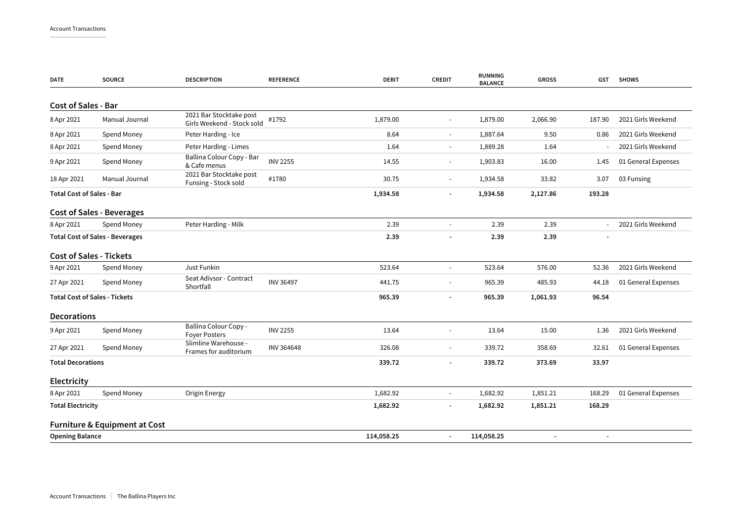| DATE                             | <b>SOURCE</b>                            | <b>DESCRIPTION</b>                                    | <b>REFERENCE</b> | <b>DEBIT</b> | <b>CREDIT</b>            | <b>RUNNING</b><br><b>BALANCE</b> | <b>GROSS</b> | GST            | <b>SHOWS</b>        |
|----------------------------------|------------------------------------------|-------------------------------------------------------|------------------|--------------|--------------------------|----------------------------------|--------------|----------------|---------------------|
| <b>Cost of Sales - Bar</b>       |                                          |                                                       |                  |              |                          |                                  |              |                |                     |
| 8 Apr 2021                       | Manual Journal                           | 2021 Bar Stocktake post<br>Girls Weekend - Stock sold | #1792            | 1,879.00     | $\blacksquare$           | 1,879.00                         | 2,066.90     | 187.90         | 2021 Girls Weekend  |
| 8 Apr 2021                       | Spend Money                              | Peter Harding - Ice                                   |                  | 8.64         | $\overline{\phantom{a}}$ | 1,887.64                         | 9.50         | 0.86           | 2021 Girls Weekend  |
| 8 Apr 2021                       | Spend Money                              | Peter Harding - Limes                                 |                  | 1.64         | $\overline{\phantom{a}}$ | 1,889.28                         | 1.64         |                | 2021 Girls Weekend  |
| 9 Apr 2021                       | Spend Money                              | Ballina Colour Copy - Bar<br>& Cafe menus             | <b>INV 2255</b>  | 14.55        | $\blacksquare$           | 1,903.83                         | 16.00        | 1.45           | 01 General Expenses |
| 18 Apr 2021                      | Manual Journal                           | 2021 Bar Stocktake post<br>Funsing - Stock sold       | #1780            | 30.75        | $\blacksquare$           | 1,934.58                         | 33.82        | 3.07           | 03 Funsing          |
| <b>Total Cost of Sales - Bar</b> |                                          |                                                       |                  | 1,934.58     | $\overline{\phantom{a}}$ | 1,934.58                         | 2,127.86     | 193.28         |                     |
|                                  | <b>Cost of Sales - Beverages</b>         |                                                       |                  |              |                          |                                  |              |                |                     |
| 8 Apr 2021                       | Spend Money                              | Peter Harding - Milk                                  |                  | 2.39         | $\blacksquare$           | 2.39                             | 2.39         |                | 2021 Girls Weekend  |
|                                  | <b>Total Cost of Sales - Beverages</b>   |                                                       |                  | 2.39         |                          | 2.39                             | 2.39         |                |                     |
|                                  | <b>Cost of Sales - Tickets</b>           |                                                       |                  |              |                          |                                  |              |                |                     |
| 9 Apr 2021                       | Spend Money                              | Just Funkin                                           |                  | 523.64       | $\overline{\phantom{a}}$ | 523.64                           | 576.00       | 52.36          | 2021 Girls Weekend  |
| 27 Apr 2021                      | Spend Money                              | Seat Adivsor - Contract<br>Shortfall                  | <b>INV 36497</b> | 441.75       | $\blacksquare$           | 965.39                           | 485.93       | 44.18          | 01 General Expenses |
|                                  | <b>Total Cost of Sales - Tickets</b>     |                                                       |                  | 965.39       | $\overline{\phantom{a}}$ | 965.39                           | 1,061.93     | 96.54          |                     |
| <b>Decorations</b>               |                                          |                                                       |                  |              |                          |                                  |              |                |                     |
| 9 Apr 2021                       | Spend Money                              | Ballina Colour Copy -<br><b>Foyer Posters</b>         | <b>INV 2255</b>  | 13.64        |                          | 13.64                            | 15.00        | 1.36           | 2021 Girls Weekend  |
| 27 Apr 2021                      | Spend Money                              | Slimline Warehouse -<br>Frames for auditorium         | INV 364648       | 326.08       |                          | 339.72                           | 358.69       | 32.61          | 01 General Expenses |
| <b>Total Decorations</b>         |                                          |                                                       |                  | 339.72       | $\overline{\phantom{a}}$ | 339.72                           | 373.69       | 33.97          |                     |
| <b>Electricity</b>               |                                          |                                                       |                  |              |                          |                                  |              |                |                     |
| 8 Apr 2021                       | Spend Money                              | Origin Energy                                         |                  | 1,682.92     | $\blacksquare$           | 1,682.92                         | 1,851.21     | 168.29         | 01 General Expenses |
| <b>Total Electricity</b>         |                                          |                                                       |                  | 1,682.92     | ÷                        | 1,682.92                         | 1,851.21     | 168.29         |                     |
|                                  | <b>Furniture &amp; Equipment at Cost</b> |                                                       |                  |              |                          |                                  |              |                |                     |
| <b>Opening Balance</b>           |                                          |                                                       |                  | 114,058.25   | $\overline{\phantom{a}}$ | 114,058.25                       |              | $\blacksquare$ |                     |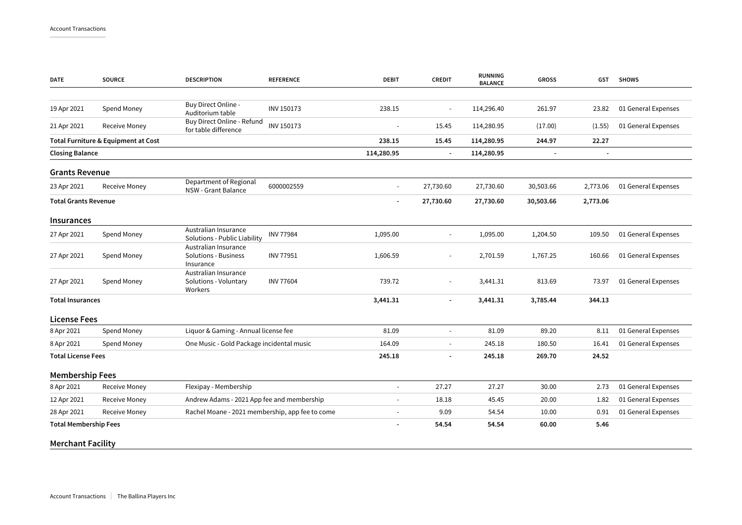| <b>DATE</b>                  | <b>SOURCE</b>                       | <b>DESCRIPTION</b>                                               | <b>REFERENCE</b>  | <b>DEBIT</b>             | <b>CREDIT</b>            | RUNNING<br><b>BALANCE</b> | <b>GROSS</b>   | GST      | <b>SHOWS</b>        |
|------------------------------|-------------------------------------|------------------------------------------------------------------|-------------------|--------------------------|--------------------------|---------------------------|----------------|----------|---------------------|
|                              |                                     |                                                                  |                   |                          |                          |                           |                |          |                     |
| 19 Apr 2021                  | Spend Money                         | Buy Direct Online -<br>Auditorium table                          | <b>INV 150173</b> | 238.15                   | $\blacksquare$           | 114,296.40                | 261.97         | 23.82    | 01 General Expenses |
| 21 Apr 2021                  | Receive Money                       | Buy Direct Online - Refund<br>for table difference               | INV 150173        | ÷.                       | 15.45                    | 114,280.95                | (17.00)        | (1.55)   | 01 General Expenses |
|                              | Total Furniture & Equipment at Cost |                                                                  |                   | 238.15                   | 15.45                    | 114,280.95                | 244.97         | 22.27    |                     |
| <b>Closing Balance</b>       |                                     |                                                                  |                   | 114,280.95               | $\blacksquare$           | 114,280.95                | $\blacksquare$ | ÷,       |                     |
| <b>Grants Revenue</b>        |                                     |                                                                  |                   |                          |                          |                           |                |          |                     |
| 23 Apr 2021                  | <b>Receive Money</b>                | Department of Regional<br>NSW - Grant Balance                    | 6000002559        | $\overline{\phantom{a}}$ | 27,730.60                | 27,730.60                 | 30,503.66      | 2,773.06 | 01 General Expenses |
| <b>Total Grants Revenue</b>  |                                     |                                                                  |                   |                          | 27,730.60                | 27,730.60                 | 30,503.66      | 2,773.06 |                     |
| <b>Insurances</b>            |                                     |                                                                  |                   |                          |                          |                           |                |          |                     |
| 27 Apr 2021                  | Spend Money                         | Australian Insurance<br>Solutions - Public Liability             | <b>INV 77984</b>  | 1,095.00                 |                          | 1,095.00                  | 1,204.50       | 109.50   | 01 General Expenses |
| 27 Apr 2021                  | Spend Money                         | Australian Insurance<br><b>Solutions - Business</b><br>Insurance | <b>INV 77951</b>  | 1,606.59                 | $\blacksquare$           | 2,701.59                  | 1,767.25       | 160.66   | 01 General Expenses |
| 27 Apr 2021                  | Spend Money                         | Australian Insurance<br>Solutions - Voluntary<br>Workers         | <b>INV 77604</b>  | 739.72                   | $\overline{\phantom{a}}$ | 3,441.31                  | 813.69         | 73.97    | 01 General Expenses |
| <b>Total Insurances</b>      |                                     |                                                                  |                   | 3,441.31                 | $\overline{\phantom{a}}$ | 3,441.31                  | 3,785.44       | 344.13   |                     |
| <b>License Fees</b>          |                                     |                                                                  |                   |                          |                          |                           |                |          |                     |
| 8 Apr 2021                   | Spend Money                         | Liquor & Gaming - Annual license fee                             |                   | 81.09                    | $\sim$                   | 81.09                     | 89.20          | 8.11     | 01 General Expenses |
| 8 Apr 2021                   | Spend Money                         | One Music - Gold Package incidental music                        |                   | 164.09                   | $\sim$                   | 245.18                    | 180.50         | 16.41    | 01 General Expenses |
| <b>Total License Fees</b>    |                                     |                                                                  |                   | 245.18                   | $\blacksquare$           | 245.18                    | 269.70         | 24.52    |                     |
| <b>Membership Fees</b>       |                                     |                                                                  |                   |                          |                          |                           |                |          |                     |
| 8 Apr 2021                   | Receive Money                       | Flexipay - Membership                                            |                   | ÷,                       | 27.27                    | 27.27                     | 30.00          | 2.73     | 01 General Expenses |
| 12 Apr 2021                  | <b>Receive Money</b>                | Andrew Adams - 2021 App fee and membership                       |                   |                          | 18.18                    | 45.45                     | 20.00          | 1.82     | 01 General Expenses |
| 28 Apr 2021                  | <b>Receive Money</b>                | Rachel Moane - 2021 membership, app fee to come                  |                   |                          | 9.09                     | 54.54                     | 10.00          | 0.91     | 01 General Expenses |
| <b>Total Membership Fees</b> |                                     |                                                                  |                   |                          | 54.54                    | 54.54                     | 60.00          | 5.46     |                     |
| <b>Merchant Facility</b>     |                                     |                                                                  |                   |                          |                          |                           |                |          |                     |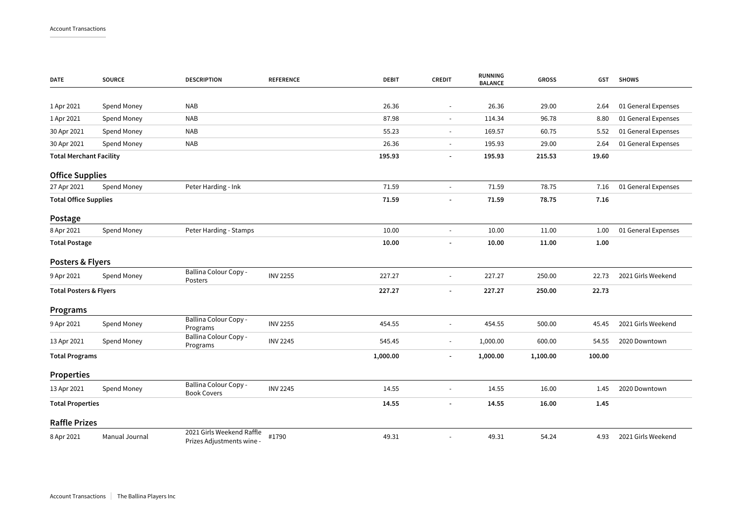| <b>DATE</b>                       | <b>SOURCE</b>  | <b>DESCRIPTION</b>                                     | <b>REFERENCE</b> | <b>DEBIT</b> | <b>CREDIT</b>            | <b>RUNNING</b><br><b>BALANCE</b> | <b>GROSS</b> | GST    | <b>SHOWS</b>        |
|-----------------------------------|----------------|--------------------------------------------------------|------------------|--------------|--------------------------|----------------------------------|--------------|--------|---------------------|
|                                   |                |                                                        |                  |              |                          |                                  |              |        |                     |
| 1 Apr 2021                        | Spend Money    | <b>NAB</b>                                             |                  | 26.36        | $\blacksquare$           | 26.36                            | 29.00        | 2.64   | 01 General Expenses |
| 1 Apr 2021                        | Spend Money    | <b>NAB</b>                                             |                  | 87.98        | $\blacksquare$           | 114.34                           | 96.78        | 8.80   | 01 General Expenses |
| 30 Apr 2021                       | Spend Money    | <b>NAB</b>                                             |                  | 55.23        | $\blacksquare$           | 169.57                           | 60.75        | 5.52   | 01 General Expenses |
| 30 Apr 2021                       | Spend Money    | <b>NAB</b>                                             |                  | 26.36        | $\sim$                   | 195.93                           | 29.00        | 2.64   | 01 General Expenses |
| <b>Total Merchant Facility</b>    |                |                                                        |                  | 195.93       | ٠                        | 195.93                           | 215.53       | 19.60  |                     |
| <b>Office Supplies</b>            |                |                                                        |                  |              |                          |                                  |              |        |                     |
| 27 Apr 2021                       | Spend Money    | Peter Harding - Ink                                    |                  | 71.59        |                          | 71.59                            | 78.75        | 7.16   | 01 General Expenses |
| <b>Total Office Supplies</b>      |                |                                                        |                  | 71.59        |                          | 71.59                            | 78.75        | 7.16   |                     |
| Postage                           |                |                                                        |                  |              |                          |                                  |              |        |                     |
| 8 Apr 2021                        | Spend Money    | Peter Harding - Stamps                                 |                  | 10.00        | ä,                       | 10.00                            | 11.00        | 1.00   | 01 General Expenses |
| <b>Total Postage</b>              |                |                                                        |                  | 10.00        | $\overline{\phantom{a}}$ | 10.00                            | 11.00        | 1.00   |                     |
| Posters & Flyers                  |                |                                                        |                  |              |                          |                                  |              |        |                     |
| 9 Apr 2021                        | Spend Money    | Ballina Colour Copy -<br>Posters                       | <b>INV 2255</b>  | 227.27       | $\bar{a}$                | 227.27                           | 250.00       | 22.73  | 2021 Girls Weekend  |
| <b>Total Posters &amp; Flyers</b> |                |                                                        |                  | 227.27       | ÷,                       | 227.27                           | 250.00       | 22.73  |                     |
| Programs                          |                |                                                        |                  |              |                          |                                  |              |        |                     |
| 9 Apr 2021                        | Spend Money    | Ballina Colour Copy -<br>Programs                      | <b>INV 2255</b>  | 454.55       | $\blacksquare$           | 454.55                           | 500.00       | 45.45  | 2021 Girls Weekend  |
| 13 Apr 2021                       | Spend Money    | Ballina Colour Copy -<br>Programs                      | <b>INV 2245</b>  | 545.45       | ÷,                       | 1,000.00                         | 600.00       | 54.55  | 2020 Downtown       |
| <b>Total Programs</b>             |                |                                                        |                  | 1,000.00     | ٠                        | 1,000.00                         | 1,100.00     | 100.00 |                     |
| <b>Properties</b>                 |                |                                                        |                  |              |                          |                                  |              |        |                     |
| 13 Apr 2021                       | Spend Money    | Ballina Colour Copy -<br><b>Book Covers</b>            | <b>INV 2245</b>  | 14.55        |                          | 14.55                            | 16.00        | 1.45   | 2020 Downtown       |
| <b>Total Properties</b>           |                |                                                        |                  | 14.55        | $\overline{\phantom{a}}$ | 14.55                            | 16.00        | 1.45   |                     |
| <b>Raffle Prizes</b>              |                |                                                        |                  |              |                          |                                  |              |        |                     |
| 8 Apr 2021                        | Manual Journal | 2021 Girls Weekend Raffle<br>Prizes Adjustments wine - | #1790            | 49.31        |                          | 49.31                            | 54.24        | 4.93   | 2021 Girls Weekend  |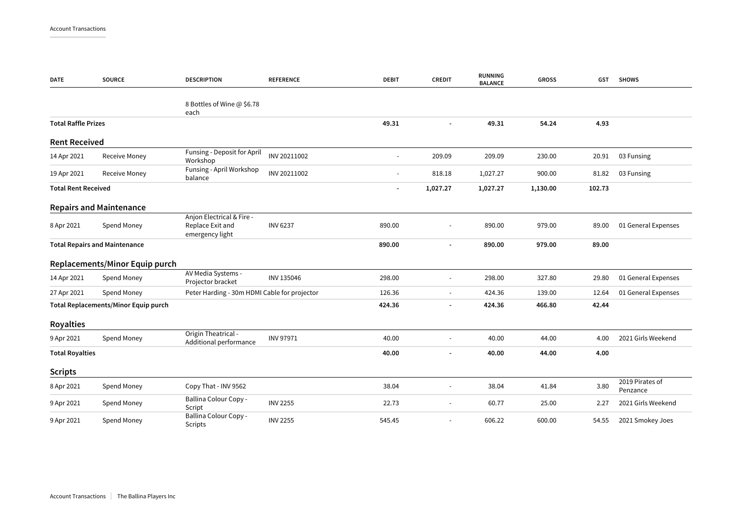| <b>DATE</b>                          | <b>SOURCE</b>                        | <b>DESCRIPTION</b>                                               | <b>REFERENCE</b> | <b>DEBIT</b>             | <b>CREDIT</b>            | <b>RUNNING</b><br><b>BALANCE</b> | <b>GROSS</b> | <b>GST</b> | <b>SHOWS</b>                |
|--------------------------------------|--------------------------------------|------------------------------------------------------------------|------------------|--------------------------|--------------------------|----------------------------------|--------------|------------|-----------------------------|
|                                      |                                      | 8 Bottles of Wine @ \$6.78<br>each                               |                  |                          |                          |                                  |              |            |                             |
| <b>Total Raffle Prizes</b>           |                                      |                                                                  |                  | 49.31                    | $\blacksquare$           | 49.31                            | 54.24        | 4.93       |                             |
| <b>Rent Received</b>                 |                                      |                                                                  |                  |                          |                          |                                  |              |            |                             |
| 14 Apr 2021                          | Receive Money                        | Funsing - Deposit for April<br>Workshop                          | INV 20211002     | ä,                       | 209.09                   | 209.09                           | 230.00       | 20.91      | 03 Funsing                  |
| 19 Apr 2021                          | Receive Money                        | Funsing - April Workshop<br>balance                              | INV 20211002     | $\blacksquare$           | 818.18                   | 1,027.27                         | 900.00       | 81.82      | 03 Funsing                  |
| <b>Total Rent Received</b>           |                                      |                                                                  |                  | $\overline{\phantom{a}}$ | 1,027.27                 | 1,027.27                         | 1,130.00     | 102.73     |                             |
|                                      | <b>Repairs and Maintenance</b>       |                                                                  |                  |                          |                          |                                  |              |            |                             |
| 8 Apr 2021                           | Spend Money                          | Anjon Electrical & Fire -<br>Replace Exit and<br>emergency light | <b>INV 6237</b>  | 890.00                   |                          | 890.00                           | 979.00       | 89.00      | 01 General Expenses         |
| <b>Total Repairs and Maintenance</b> |                                      |                                                                  | 890.00           |                          | 890.00                   | 979.00                           | 89.00        |            |                             |
|                                      | Replacements/Minor Equip purch       |                                                                  |                  |                          |                          |                                  |              |            |                             |
| 14 Apr 2021                          | Spend Money                          | AV Media Systems -<br>Projector bracket                          | INV 135046       | 298.00                   | $\overline{\phantom{a}}$ | 298.00                           | 327.80       | 29.80      | 01 General Expenses         |
| 27 Apr 2021                          | Spend Money                          | Peter Harding - 30m HDMI Cable for projector                     |                  | 126.36                   | $\sim$                   | 424.36                           | 139.00       | 12.64      | 01 General Expenses         |
|                                      | Total Replacements/Minor Equip purch |                                                                  |                  | 424.36                   |                          | 424.36                           | 466.80       | 42.44      |                             |
| <b>Royalties</b>                     |                                      |                                                                  |                  |                          |                          |                                  |              |            |                             |
| 9 Apr 2021                           | Spend Money                          | Origin Theatrical -<br>Additional performance                    | <b>INV 97971</b> | 40.00                    |                          | 40.00                            | 44.00        | 4.00       | 2021 Girls Weekend          |
| <b>Total Royalties</b>               |                                      |                                                                  |                  | 40.00                    |                          | 40.00                            | 44.00        | 4.00       |                             |
| <b>Scripts</b>                       |                                      |                                                                  |                  |                          |                          |                                  |              |            |                             |
| 8 Apr 2021                           | Spend Money                          | Copy That - INV 9562                                             |                  | 38.04                    |                          | 38.04                            | 41.84        | 3.80       | 2019 Pirates of<br>Penzance |
| 9 Apr 2021                           | Spend Money                          | Ballina Colour Copy -<br>Script                                  | <b>INV 2255</b>  | 22.73                    |                          | 60.77                            | 25.00        | 2.27       | 2021 Girls Weekend          |
| 9 Apr 2021                           | Spend Money                          | Ballina Colour Copy -<br>Scripts                                 | <b>INV 2255</b>  | 545.45                   |                          | 606.22                           | 600.00       | 54.55      | 2021 Smokey Joes            |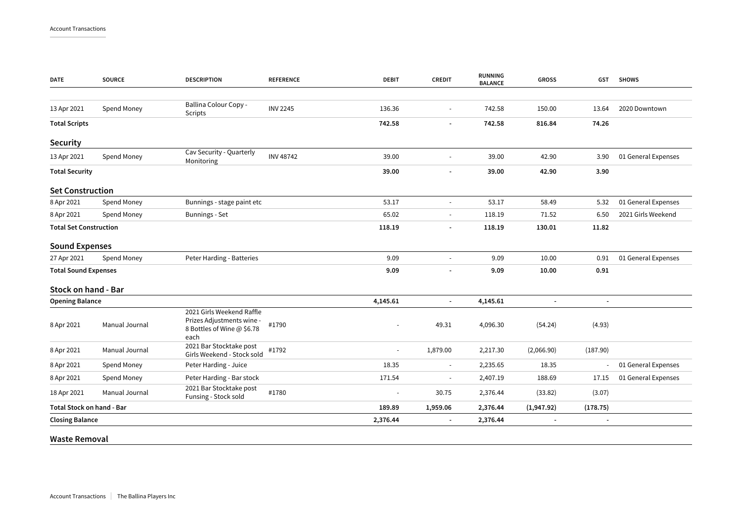| Spend Money                      | Ballina Colour Copy -<br>Scripts                                                             | <b>INV 2245</b>  | 136.36         |                          | 742.58   | 150.00                   | 13.64                    | 2020 Downtown       |
|----------------------------------|----------------------------------------------------------------------------------------------|------------------|----------------|--------------------------|----------|--------------------------|--------------------------|---------------------|
|                                  |                                                                                              |                  | 742.58         | $\overline{\phantom{a}}$ | 742.58   | 816.84                   | 74.26                    |                     |
|                                  |                                                                                              |                  |                |                          |          |                          |                          |                     |
| Spend Money                      | Cav Security - Quarterly<br>Monitoring                                                       | <b>INV 48742</b> | 39.00          | $\mathbf{r}$             | 39.00    | 42.90                    | 3.90                     | 01 General Expenses |
|                                  |                                                                                              |                  | 39.00          |                          | 39.00    | 42.90                    | 3.90                     |                     |
| <b>Set Construction</b>          |                                                                                              |                  |                |                          |          |                          |                          |                     |
| Spend Money                      | Bunnings - stage paint etc                                                                   |                  | 53.17          | $\blacksquare$           | 53.17    | 58.49                    | 5.32                     | 01 General Expenses |
| Spend Money                      | <b>Bunnings - Set</b>                                                                        |                  | 65.02          | $\blacksquare$           | 118.19   | 71.52                    | 6.50                     | 2021 Girls Weekend  |
| <b>Total Set Construction</b>    |                                                                                              |                  | 118.19         |                          | 118.19   | 130.01                   | 11.82                    |                     |
| <b>Sound Expenses</b>            |                                                                                              |                  |                |                          |          |                          |                          |                     |
| Spend Money                      | Peter Harding - Batteries                                                                    |                  | 9.09           | $\sim$                   | 9.09     | 10.00                    | 0.91                     | 01 General Expenses |
| <b>Total Sound Expenses</b>      |                                                                                              |                  | 9.09           |                          | 9.09     | 10.00                    | 0.91                     |                     |
| <b>Stock on hand - Bar</b>       |                                                                                              |                  |                |                          |          |                          |                          |                     |
|                                  |                                                                                              |                  | 4,145.61       | ÷,                       | 4,145.61 | $\blacksquare$           | $\blacksquare$           |                     |
| Manual Journal                   | 2021 Girls Weekend Raffle<br>Prizes Adjustments wine -<br>8 Bottles of Wine @ \$6.78<br>each | #1790            | ÷,             | 49.31                    | 4,096.30 | (54.24)                  | (4.93)                   |                     |
| Manual Journal                   | 2021 Bar Stocktake post<br>Girls Weekend - Stock sold                                        | #1792            | L,             | 1,879.00                 | 2,217.30 | (2,066.90)               | (187.90)                 |                     |
| Spend Money                      | Peter Harding - Juice                                                                        |                  | 18.35          | $\blacksquare$           | 2,235.65 | 18.35                    |                          | 01 General Expenses |
| Spend Money                      | Peter Harding - Bar stock                                                                    |                  | 171.54         |                          | 2,407.19 | 188.69                   | 17.15                    | 01 General Expenses |
| Manual Journal                   | 2021 Bar Stocktake post<br>Funsing - Stock sold                                              | #1780            | $\overline{a}$ | 30.75                    | 2,376.44 | (33.82)                  | (3.07)                   |                     |
| <b>Total Stock on hand - Bar</b> |                                                                                              |                  | 189.89         | 1,959.06                 | 2,376.44 | (1,947.92)               | (178.75)                 |                     |
| <b>Closing Balance</b>           |                                                                                              |                  | 2,376.44       | $\overline{a}$           | 2,376.44 | $\overline{\phantom{a}}$ | $\overline{\phantom{a}}$ |                     |
|                                  |                                                                                              |                  |                |                          |          |                          |                          |                     |